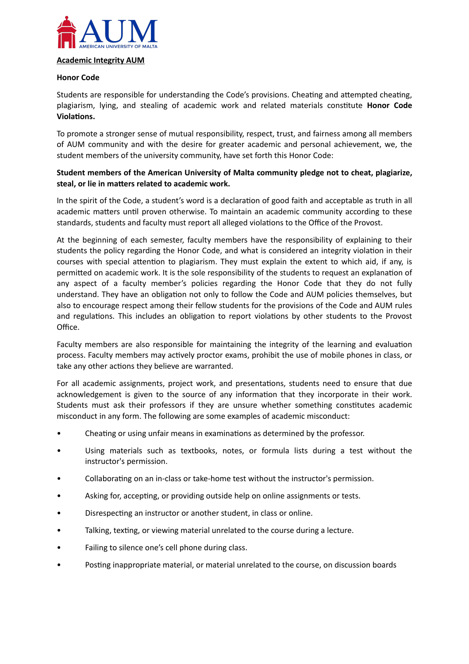

### **Honor Code**

Students are responsible for understanding the Code's provisions. Cheating and attempted cheating, plagiarism, lying, and stealing of academic work and related materials constitute **Honor Code Violations.** 

To promote a stronger sense of mutual responsibility, respect, trust, and fairness among all members of AUM community and with the desire for greater academic and personal achievement, we, the student members of the university community, have set forth this Honor Code:

## **Student members of the American University of Malta community pledge not to cheat, plagiarize,**  steal, or lie in matters related to academic work.

In the spirit of the Code, a student's word is a declaration of good faith and acceptable as truth in all academic matters until proven otherwise. To maintain an academic community according to these standards, students and faculty must report all alleged violations to the Office of the Provost.

At the beginning of each semester, faculty members have the responsibility of explaining to their students the policy regarding the Honor Code, and what is considered an integrity violation in their courses with special attention to plagiarism. They must explain the extent to which aid, if any, is permitted on academic work. It is the sole responsibility of the students to request an explanation of any aspect of a faculty member's policies regarding the Honor Code that they do not fully understand. They have an obligation not only to follow the Code and AUM policies themselves, but also to encourage respect among their fellow students for the provisions of the Code and AUM rules and regulations. This includes an obligation to report violations by other students to the Provost Office.

Faculty members are also responsible for maintaining the integrity of the learning and evaluation process. Faculty members may actively proctor exams, prohibit the use of mobile phones in class, or take any other actions they believe are warranted.

For all academic assignments, project work, and presentations, students need to ensure that due acknowledgement is given to the source of any information that they incorporate in their work. Students must ask their professors if they are unsure whether something constitutes academic misconduct in any form. The following are some examples of academic misconduct:

- Cheating or using unfair means in examinations as determined by the professor.
- Using materials such as textbooks, notes, or formula lists during a test without the instructor's permission.
- Collaborating on an in-class or take-home test without the instructor's permission.
- Asking for, accepting, or providing outside help on online assignments or tests.
- Disrespecting an instructor or another student, in class or online.
- Talking, texting, or viewing material unrelated to the course during a lecture.
- Failing to silence one's cell phone during class.
- Posting inappropriate material, or material unrelated to the course, on discussion boards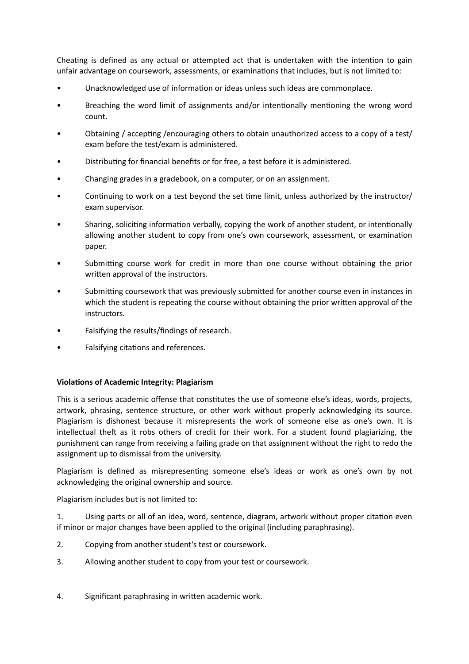Cheating is defined as any actual or attempted act that is undertaken with the intention to gain unfair advantage on coursework, assessments, or examinations that includes, but is not limited to:

- Unacknowledged use of information or ideas unless such ideas are commonplace.
- Breaching the word limit of assignments and/or intentionally mentioning the wrong word count.
- Obtaining / accepting /encouraging others to obtain unauthorized access to a copy of a test/ exam before the test/exam is administered.
- Distributing for financial benefits or for free, a test before it is administered.
- Changing grades in a gradebook, on a computer, or on an assignment.
- Continuing to work on a test beyond the set time limit, unless authorized by the instructor/ exam supervisor.
- Sharing, soliciting information verbally, copying the work of another student, or intentionally allowing another student to copy from one's own coursework, assessment, or examination paper.
- Submitting course work for credit in more than one course without obtaining the prior written approval of the instructors.
- Submitting coursework that was previously submitted for another course even in instances in which the student is repeating the course without obtaining the prior written approval of the instructors.
- Falsifying the results/findings of research.
- Falsifying citations and references.

# **Violations of Academic Integrity: Plagiarism**

This is a serious academic offense that constitutes the use of someone else's ideas, words, projects, artwork, phrasing, sentence structure, or other work without properly acknowledging its source. Plagiarism is dishonest because it misrepresents the work of someone else as one's own. It is intellectual theft as it robs others of credit for their work. For a student found plagiarizing, the punishment can range from receiving a failing grade on that assignment without the right to redo the assignment up to dismissal from the university.

Plagiarism is defined as misrepresenting someone else's ideas or work as one's own by not acknowledging the original ownership and source.

Plagiarism includes but is not limited to:

1. Using parts or all of an idea, word, sentence, diagram, artwork without proper citation even if minor or major changes have been applied to the original (including paraphrasing).

- 2. Copying from another student's test or coursework.
- 3. Allowing another student to copy from your test or coursework.
- 4. Significant paraphrasing in written academic work.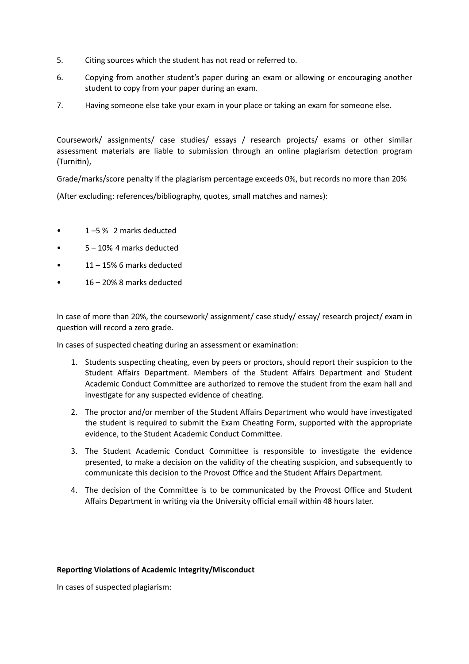- 5. Citing sources which the student has not read or referred to.
- 6. Copying from another student's paper during an exam or allowing or encouraging another student to copy from your paper during an exam.
- 7. Having someone else take your exam in your place or taking an exam for someone else.

Coursework/ assignments/ case studies/ essays / research projects/ exams or other similar assessment materials are liable to submission through an online plagiarism detection program (Turnitin).

Grade/marks/score penalty if the plagiarism percentage exceeds 0%, but records no more than 20%

(After excluding: references/bibliography, quotes, small matches and names):

- 1 –5 % 2 marks deducted
- 5 10% 4 marks deducted
- $11 15\%$  6 marks deducted
- 16 20% 8 marks deducted

In case of more than 20%, the coursework/ assignment/ case study/ essay/ research project/ exam in question will record a zero grade.

In cases of suspected cheating during an assessment or examination:

- 1. Students suspecting cheating, even by peers or proctors, should report their suspicion to the Student Affairs Department. Members of the Student Affairs Department and Student Academic Conduct Committee are authorized to remove the student from the exam hall and investigate for any suspected evidence of cheating.
- 2. The proctor and/or member of the Student Affairs Department who would have investigated the student is required to submit the Exam Cheating Form, supported with the appropriate evidence, to the Student Academic Conduct Committee.
- 3. The Student Academic Conduct Committee is responsible to investigate the evidence presented, to make a decision on the validity of the cheating suspicion, and subsequently to communicate this decision to the Provost Office and the Student Affairs Department.
- 4. The decision of the Committee is to be communicated by the Provost Office and Student Affairs Department in writing via the University official email within 48 hours later.

#### **Reporting Violations of Academic Integrity/Misconduct**

In cases of suspected plagiarism: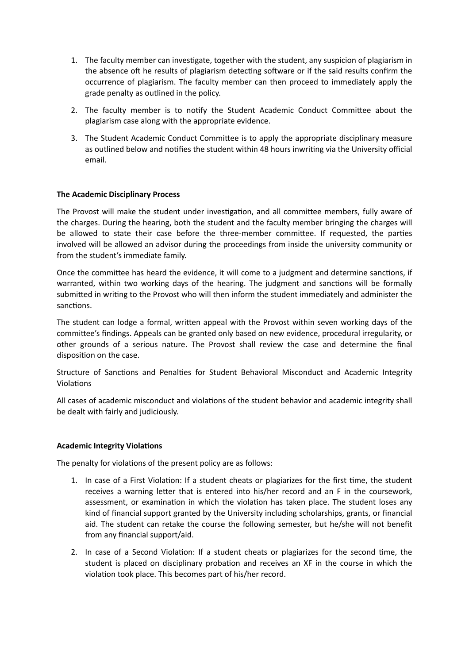- 1. The faculty member can investigate, together with the student, any suspicion of plagiarism in the absence oft he results of plagiarism detecting software or if the said results confirm the occurrence of plagiarism. The faculty member can then proceed to immediately apply the grade penalty as outlined in the policy.
- 2. The faculty member is to notify the Student Academic Conduct Committee about the plagiarism case along with the appropriate evidence.
- 3. The Student Academic Conduct Committee is to apply the appropriate disciplinary measure as outlined below and notifies the student within 48 hours inwriting via the University official email.

### **The Academic Disciplinary Process**

The Provost will make the student under investigation, and all committee members, fully aware of the charges. During the hearing, both the student and the faculty member bringing the charges will be allowed to state their case before the three-member committee. If requested, the parties involved will be allowed an advisor during the proceedings from inside the university community or from the student's immediate family.

Once the committee has heard the evidence, it will come to a judgment and determine sanctions, if warranted, within two working days of the hearing. The judgment and sanctions will be formally submitted in writing to the Provost who will then inform the student immediately and administer the sanctions.

The student can lodge a formal, written appeal with the Provost within seven working days of the committee's findings. Appeals can be granted only based on new evidence, procedural irregularity, or other grounds of a serious nature. The Provost shall review the case and determine the final disposition on the case.

Structure of Sanctions and Penalties for Student Behavioral Misconduct and Academic Integrity Violations

All cases of academic misconduct and violations of the student behavior and academic integrity shall be dealt with fairly and judiciously.

### **Academic Integrity Violations**

The penalty for violations of the present policy are as follows:

- 1. In case of a First Violation: If a student cheats or plagiarizes for the first time, the student receives a warning letter that is entered into his/her record and an F in the coursework, assessment, or examination in which the violation has taken place. The student loses any kind of financial support granted by the University including scholarships, grants, or financial aid. The student can retake the course the following semester, but he/she will not benefit from any financial support/aid.
- 2. In case of a Second Violation: If a student cheats or plagiarizes for the second time, the student is placed on disciplinary probation and receives an XF in the course in which the violation took place. This becomes part of his/her record.